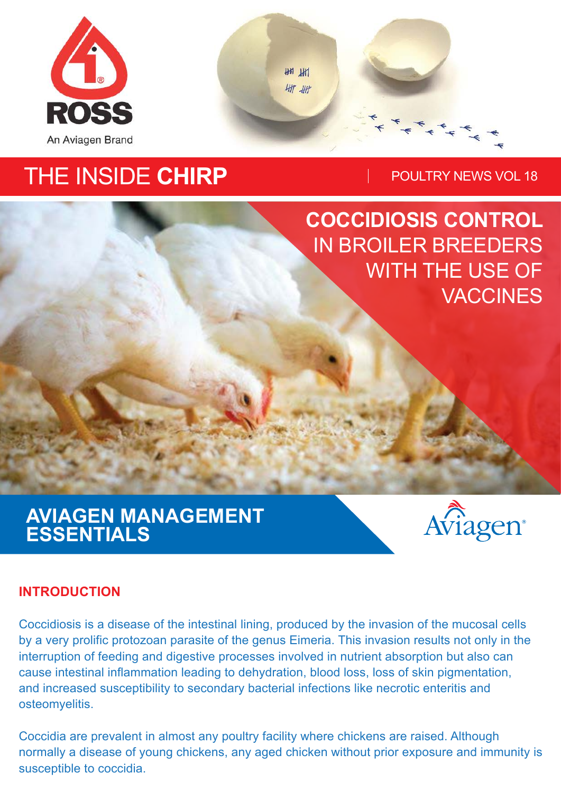

**HH HH** 411 41

# THE INSIDE CHIRP **POULTRY NEWS VOL 18**

**COCCIDIOSIS CONTROL**  IN BROILER BREEDERS WITH THE USE OF **VACCINES** 

## **AVIAGEN MANAGEMENT ESSENTIALS**



#### **INTRODUCTION**

Coccidiosis is a disease of the intestinal lining, produced by the invasion of the mucosal cells by a very prolific protozoan parasite of the genus Eimeria. This invasion results not only in the interruption of feeding and digestive processes involved in nutrient absorption but also can cause intestinal inflammation leading to dehydration, blood loss, loss of skin pigmentation, and increased susceptibility to secondary bacterial infections like necrotic enteritis and osteomyelitis.

Coccidia are prevalent in almost any poultry facility where chickens are raised. Although normally a disease of young chickens, any aged chicken without prior exposure and immunity is susceptible to coccidia.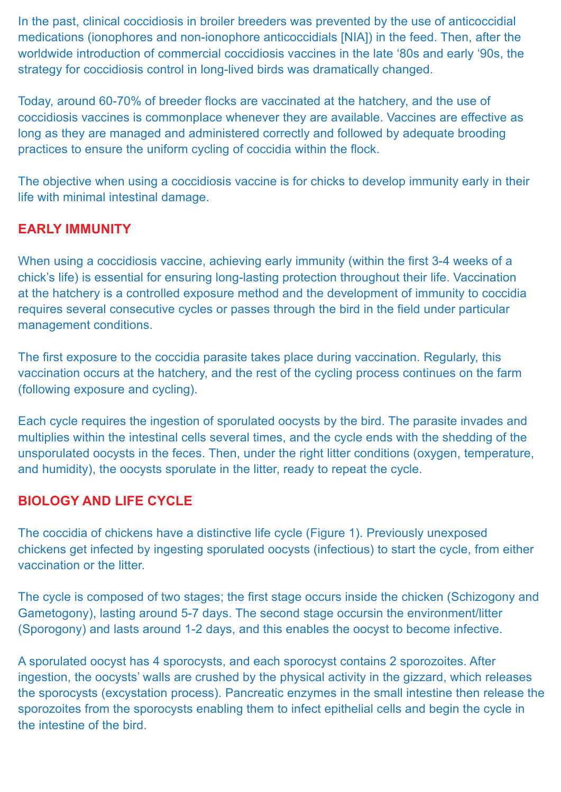In the past, clinical coccidiosis in broiler breeders was prevented by the use of anticoccidial medications (ionophores and non-ionophore anticoccidials [NIA]) in the feed. Then, after the worldwide introduction of commercial coccidiosis vaccines in the late '80s and early '90s, the strategy for coccidiosis control in long-lived birds was dramatically changed.

Today, around 60-70% of breeder flocks are vaccinated at the hatchery, and the use of coccidiosis vaccines is commonplace whenever they are available. Vaccines are effective as long as they are managed and administered correctly and followed by adequate brooding practices to ensure the uniform cycling of coccidia within the flock.

The objective when using a coccidiosis vaccine is for chicks to develop immunity early in their life with minimal intestinal damage.

#### **EARLY IMMUNITY**

When using a coccidiosis vaccine, achieving early immunity (within the first 3-4 weeks of a chick's life) is essential for ensuring long-lasting protection throughout their life. Vaccination at the hatchery is a controlled exposure method and the development of immunity to coccidia requires several consecutive cycles or passes through the bird in the field under particular management conditions.

The first exposure to the coccidia parasite takes place during vaccination. Regularly, this vaccination occurs at the hatchery, and the rest of the cycling process continues on the farm (following exposure and cycling).

Each cycle requires the ingestion of sporulated oocysts by the bird. The parasite invades and multiplies within the intestinal cells several times, and the cycle ends with the shedding of the unsporulated oocysts in the feces. Then, under the right litter conditions (oxygen, temperature, and humidity), the oocysts sporulate in the litter, ready to repeat the cycle.

#### **BIOLOGY AND LIFE CYCLE**

The coccidia of chickens have a distinctive life cycle (Figure 1). Previously unexposed chickens get infected by ingesting sporulated oocysts (infectious) to start the cycle, from either vaccination or the litter.

The cycle is composed of two stages; the first stage occurs inside the chicken (Schizogony and Gametogony), lasting around 5-7 days. The second stage occursin the environment/litter (Sporogony) and lasts around 1-2 days, and this enables the oocyst to become infective.

A sporulated oocyst has 4 sporocysts, and each sporocyst contains 2 sporozoites. After ingestion, the oocysts' walls are crushed by the physical activity in the gizzard, which releases the sporocysts (excystation process). Pancreatic enzymes in the small intestine then release the sporozoites from the sporocysts enabling them to infect epithelial cells and begin the cycle in the intestine of the bird.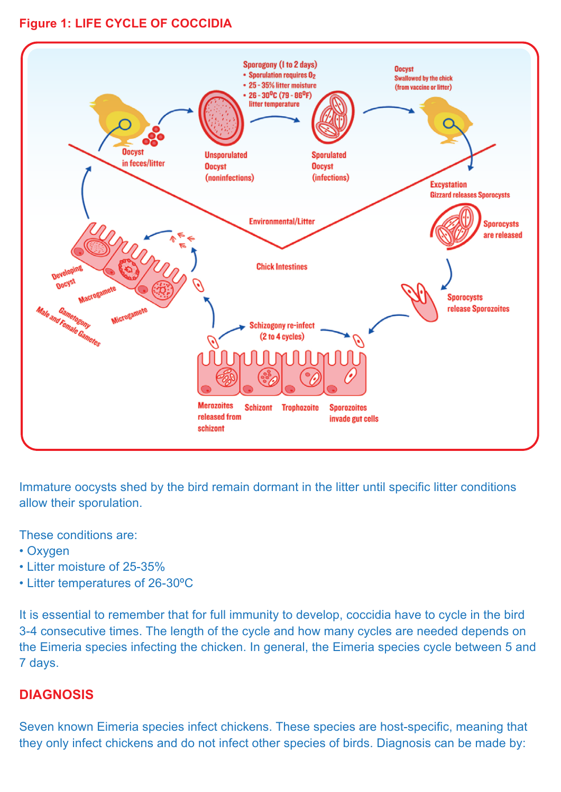#### **Figure 1: LIFE CYCLE OF COCCIDIA**



Immature oocysts shed by the bird remain dormant in the litter until specific litter conditions allow their sporulation.

These conditions are:

- Oxygen
- Litter moisture of 25-35%
- Litter temperatures of 26-30ºC

It is essential to remember that for full immunity to develop, coccidia have to cycle in the bird 3-4 consecutive times. The length of the cycle and how many cycles are needed depends on the Eimeria species infecting the chicken. In general, the Eimeria species cycle between 5 and 7 days.

#### **DIAGNOSIS**

Seven known Eimeria species infect chickens. These species are host-specific, meaning that they only infect chickens and do not infect other species of birds. Diagnosis can be made by: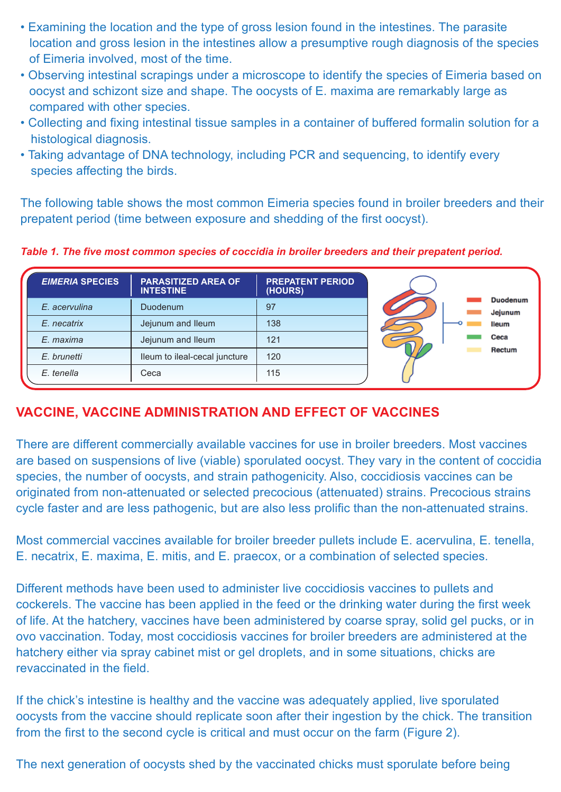- Examining the location and the type of gross lesion found in the intestines. The parasite location and gross lesion in the intestines allow a presumptive rough diagnosis of the species of Eimeria involved, most of the time.
- Observing intestinal scrapings under a microscope to identify the species of Eimeria based on oocyst and schizont size and shape. The oocysts of E. maxima are remarkably large as compared with other species.
- Collecting and fixing intestinal tissue samples in a container of buffered formalin solution for a histological diagnosis.
- Taking advantage of DNA technology, including PCR and sequencing, to identify every species affecting the birds.

The following table shows the most common Eimeria species found in broiler breeders and their prepatent period (time between exposure and shedding of the first oocyst).

*Table 1. The five most common species of coccidia in broiler breeders and their prepatent period.*

| <b>EIMERIA SPECIES</b> | <b>PARASITIZED AREA OF</b><br><b>INTESTINE</b> | <b>PREPATENT PERIOD</b><br>(HOURS) |  |                                            |
|------------------------|------------------------------------------------|------------------------------------|--|--------------------------------------------|
| E. acervulina          | Duodenum                                       | 97                                 |  | <b>Duodenum</b><br>Jejunum<br><b>Ileum</b> |
| E. necatrix            | Jejunum and Ileum                              | 138                                |  |                                            |
| E. maxima              | Jejunum and Ileum                              | 121                                |  | Ceca                                       |
| E. brunetti            | Ileum to ileal-cecal juncture                  | 120                                |  | Rectum                                     |
| E. tenella             | Ceca                                           | 115                                |  |                                            |

#### **VACCINE, VACCINE ADMINISTRATION AND EFFECT OF VACCINES**

There are different commercially available vaccines for use in broiler breeders. Most vaccines are based on suspensions of live (viable) sporulated oocyst. They vary in the content of coccidia species, the number of oocysts, and strain pathogenicity. Also, coccidiosis vaccines can be originated from non-attenuated or selected precocious (attenuated) strains. Precocious strains cycle faster and are less pathogenic, but are also less prolific than the non-attenuated strains.

Most commercial vaccines available for broiler breeder pullets include E. acervulina, E. tenella, E. necatrix, E. maxima, E. mitis, and E. praecox, or a combination of selected species.

Different methods have been used to administer live coccidiosis vaccines to pullets and cockerels. The vaccine has been applied in the feed or the drinking water during the first week of life. At the hatchery, vaccines have been administered by coarse spray, solid gel pucks, or in ovo vaccination. Today, most coccidiosis vaccines for broiler breeders are administered at the hatchery either via spray cabinet mist or gel droplets, and in some situations, chicks are revaccinated in the field.

If the chick's intestine is healthy and the vaccine was adequately applied, live sporulated oocysts from the vaccine should replicate soon after their ingestion by the chick. The transition from the first to the second cycle is critical and must occur on the farm (Figure 2).

The next generation of oocysts shed by the vaccinated chicks must sporulate before being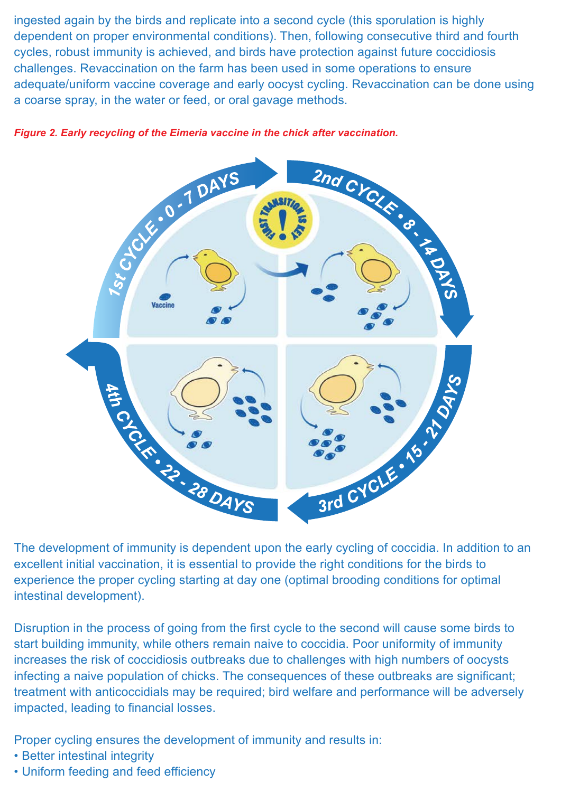ingested again by the birds and replicate into a second cycle (this sporulation is highly dependent on proper environmental conditions). Then, following consecutive third and fourth cycles, robust immunity is achieved, and birds have protection against future coccidiosis challenges. Revaccination on the farm has been used in some operations to ensure adequate/uniform vaccine coverage and early oocyst cycling. Revaccination can be done using a coarse spray, in the water or feed, or oral gavage methods.



excellent initial vaccination, it is essential to provide the right conditions for the birds to experience the proper cycling starting at day one (optimal brooding conditions for optimal intestinal development).

Disruption in the process of going from the first cycle to the second will cause some birds to start building immunity, while others remain naive to coccidia. Poor uniformity of immunity increases the risk of coccidiosis outbreaks due to challenges with high numbers of oocysts infecting a naive population of chicks. The consequences of these outbreaks are significant; treatment with anticoccidials may be required; bird welfare and performance will be adversely impacted, leading to financial losses.

Proper cycling ensures the development of immunity and results in:

- Better intestinal integrity
- Uniform feeding and feed efficiency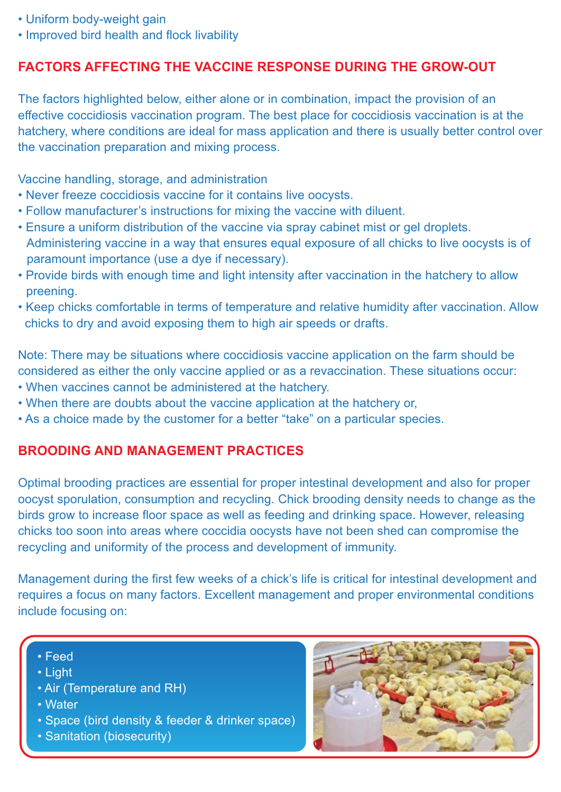- Uniform body-weight gain
- Improved bird health and flock livability

#### **FACTORS AFFECTING THE VACCINE RESPONSE DURING THE GROW-OUT**

The factors highlighted below, either alone or in combination, impact the provision of an effective coccidiosis vaccination program. The best place for coccidiosis vaccination is at the hatchery, where conditions are ideal for mass application and there is usually better control over the vaccination preparation and mixing process.

Vaccine handling, storage, and administration

- Never freeze coccidiosis vaccine for it contains live oocysts.
- Follow manufacturer's instructions for mixing the vaccine with diluent.
- Ensure a uniform distribution of the vaccine via spray cabinet mist or gel droplets. Administering vaccine in a way that ensures equal exposure of all chicks to live oocysts is of paramount importance (use a dye if necessary).
- Provide birds with enough time and light intensity after vaccination in the hatchery to allow preening.
- Keep chicks comfortable in terms of temperature and relative humidity after vaccination. Allow chicks to dry and avoid exposing them to high air speeds or drafts.

Note: There may be situations where coccidiosis vaccine application on the farm should be considered as either the only vaccine applied or as a revaccination. These situations occur:

- When vaccines cannot be administered at the hatchery.
- When there are doubts about the vaccine application at the hatchery or,
- As a choice made by the customer for a better "take" on a particular species.

#### **BROODING AND MANAGEMENT PRACTICES**

Optimal brooding practices are essential for proper intestinal development and also for proper oocyst sporulation, consumption and recycling. Chick brooding density needs to change as the birds grow to increase floor space as well as feeding and drinking space. However, releasing chicks too soon into areas where coccidia oocysts have not been shed can compromise the recycling and uniformity of the process and development of immunity.

Management during the first few weeks of a chick's life is critical for intestinal development and requires a focus on many factors. Excellent management and proper environmental conditions include focusing on:

- Feed
- Light
- Air (Temperature and RH)
- Water
- Space (bird density & feeder & drinker space)
- Sanitation (biosecurity)

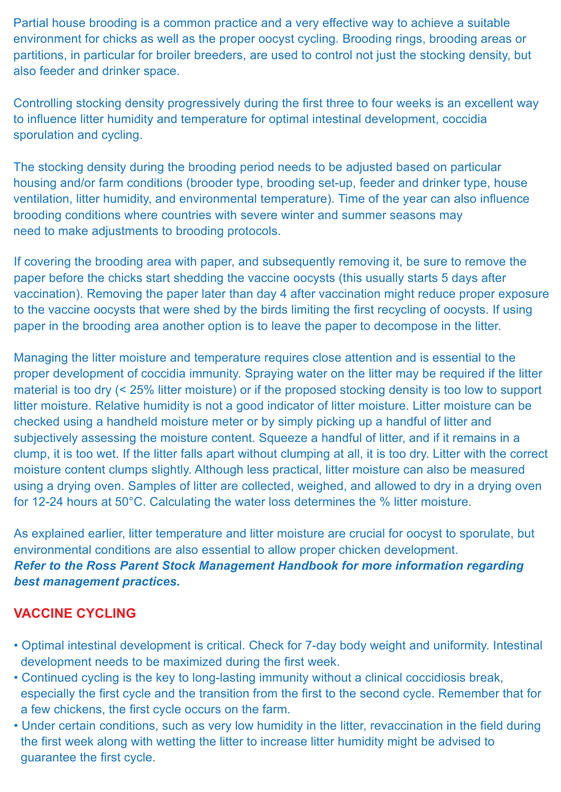Partial house brooding is a common practice and a very effective way to achieve a suitable environment for chicks as well as the proper oocyst cycling. Brooding rings, brooding areas or partitions, in particular for broiler breeders, are used to control not just the stocking density, but also feeder and drinker space.

Controlling stocking density progressively during the first three to four weeks is an excellent way to influence litter humidity and temperature for optimal intestinal development, coccidia sporulation and cycling.

The stocking density during the brooding period needs to be adjusted based on particular housing and/or farm conditions (brooder type, brooding set-up, feeder and drinker type, house ventilation, litter humidity, and environmental temperature). Time of the year can also influence brooding conditions where countries with severe winter and summer seasons may need to make adjustments to brooding protocols.

If covering the brooding area with paper, and subsequently removing it, be sure to remove the paper before the chicks start shedding the vaccine oocysts (this usually starts 5 days after vaccination). Removing the paper later than day 4 after vaccination might reduce proper exposure to the vaccine oocysts that were shed by the birds limiting the first recycling of oocysts. If using paper in the brooding area another option is to leave the paper to decompose in the litter.

Managing the litter moisture and temperature requires close attention and is essential to the proper development of coccidia immunity. Spraying water on the litter may be required if the litter material is too dry (< 25% litter moisture) or if the proposed stocking density is too low to support litter moisture. Relative humidity is not a good indicator of litter moisture. Litter moisture can be checked using a handheld moisture meter or by simply picking up a handful of litter and subjectively assessing the moisture content. Squeeze a handful of litter, and if it remains in a clump, it is too wet. If the litter falls apart without clumping at all, it is too dry. Litter with the correct moisture content clumps slightly. Although less practical, litter moisture can also be measured using a drying oven. Samples of litter are collected, weighed, and allowed to dry in a drying oven for 12-24 hours at 50°C. Calculating the water loss determines the % litter moisture.

As explained earlier, litter temperature and litter moisture are crucial for oocyst to sporulate, but environmental conditions are also essential to allow proper chicken development. *Refer to the Ross Parent Stock Management Handbook for more information regarding best management practices.*

#### **VACCINE CYCLING**

- Optimal intestinal development is critical. Check for 7-day body weight and uniformity. Intestinal development needs to be maximized during the first week.
- Continued cycling is the key to long-lasting immunity without a clinical coccidiosis break, especially the first cycle and the transition from the first to the second cycle. Remember that for a few chickens, the first cycle occurs on the farm.
- Under certain conditions, such as very low humidity in the litter, revaccination in the field during the first week along with wetting the litter to increase litter humidity might be advised to guarantee the first cycle.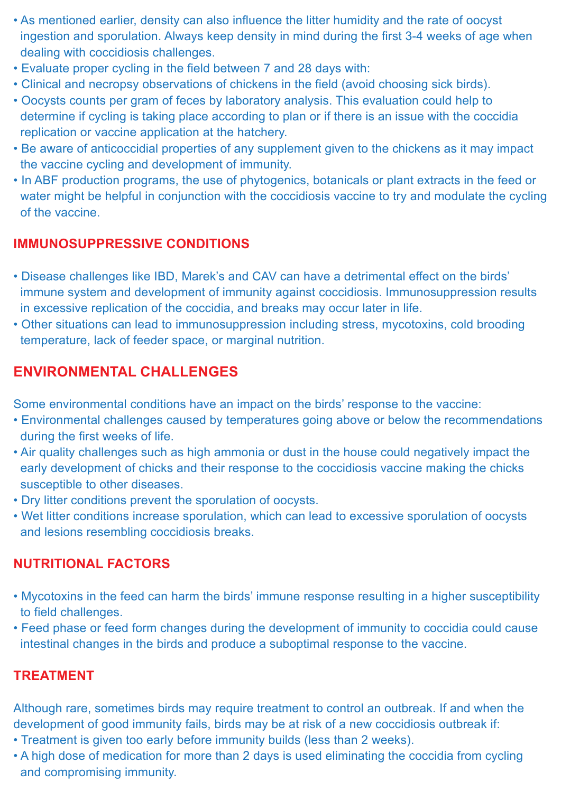- As mentioned earlier, density can also influence the litter humidity and the rate of oocyst ingestion and sporulation. Always keep density in mind during the first 3-4 weeks of age when dealing with coccidiosis challenges.
- Evaluate proper cycling in the field between 7 and 28 days with:
- Clinical and necropsy observations of chickens in the field (avoid choosing sick birds).
- Oocysts counts per gram of feces by laboratory analysis. This evaluation could help to determine if cycling is taking place according to plan or if there is an issue with the coccidia replication or vaccine application at the hatchery.
- Be aware of anticoccidial properties of any supplement given to the chickens as it may impact the vaccine cycling and development of immunity.
- In ABF production programs, the use of phytogenics, botanicals or plant extracts in the feed or water might be helpful in conjunction with the coccidiosis vaccine to try and modulate the cycling of the vaccine.

#### **IMMUNOSUPPRESSIVE CONDITIONS**

- Disease challenges like IBD, Marek's and CAV can have a detrimental effect on the birds' immune system and development of immunity against coccidiosis. Immunosuppression results in excessive replication of the coccidia, and breaks may occur later in life.
- Other situations can lead to immunosuppression including stress, mycotoxins, cold brooding temperature, lack of feeder space, or marginal nutrition.

### **ENVIRONMENTAL CHALLENGES**

Some environmental conditions have an impact on the birds' response to the vaccine:

- Environmental challenges caused by temperatures going above or below the recommendations during the first weeks of life.
- Air quality challenges such as high ammonia or dust in the house could negatively impact the early development of chicks and their response to the coccidiosis vaccine making the chicks susceptible to other diseases.
- Dry litter conditions prevent the sporulation of oocysts.
- Wet litter conditions increase sporulation, which can lead to excessive sporulation of oocysts and lesions resembling coccidiosis breaks.

#### **NUTRITIONAL FACTORS**

- Mycotoxins in the feed can harm the birds' immune response resulting in a higher susceptibility to field challenges.
- Feed phase or feed form changes during the development of immunity to coccidia could cause intestinal changes in the birds and produce a suboptimal response to the vaccine.

#### **TREATMENT**

Although rare, sometimes birds may require treatment to control an outbreak. If and when the development of good immunity fails, birds may be at risk of a new coccidiosis outbreak if:

- Treatment is given too early before immunity builds (less than 2 weeks).
- A high dose of medication for more than 2 days is used eliminating the coccidia from cycling and compromising immunity.